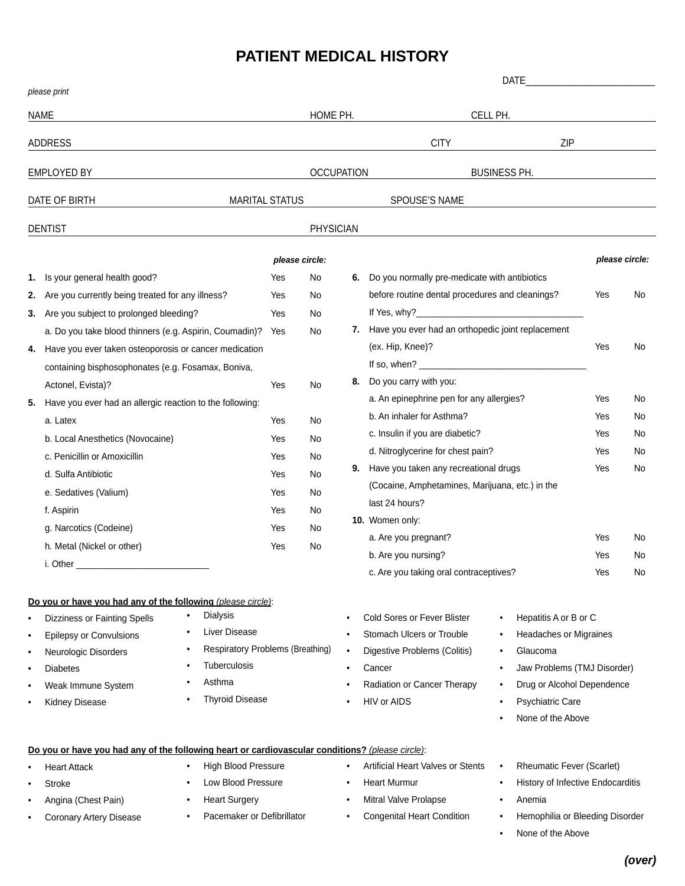## **PATIENT MEDICAL HISTORY**

|                                        |                                                                                                                                                                                                                                                                                                                                                                                                                                                                                                                                                                                             |                                                                                         |                                                                                              | <b>DATE</b>           |                                                                                                                                                                                                                                                                                                                                                                                                                                                                                                                                                                                         |                                                                                                                                                                                                                                                                                                                   |                                                                    |                                                                            |
|----------------------------------------|---------------------------------------------------------------------------------------------------------------------------------------------------------------------------------------------------------------------------------------------------------------------------------------------------------------------------------------------------------------------------------------------------------------------------------------------------------------------------------------------------------------------------------------------------------------------------------------------|-----------------------------------------------------------------------------------------|----------------------------------------------------------------------------------------------|-----------------------|-----------------------------------------------------------------------------------------------------------------------------------------------------------------------------------------------------------------------------------------------------------------------------------------------------------------------------------------------------------------------------------------------------------------------------------------------------------------------------------------------------------------------------------------------------------------------------------------|-------------------------------------------------------------------------------------------------------------------------------------------------------------------------------------------------------------------------------------------------------------------------------------------------------------------|--------------------------------------------------------------------|----------------------------------------------------------------------------|
| please print                           |                                                                                                                                                                                                                                                                                                                                                                                                                                                                                                                                                                                             |                                                                                         |                                                                                              |                       |                                                                                                                                                                                                                                                                                                                                                                                                                                                                                                                                                                                         |                                                                                                                                                                                                                                                                                                                   |                                                                    |                                                                            |
| <b>NAME</b>                            |                                                                                                                                                                                                                                                                                                                                                                                                                                                                                                                                                                                             |                                                                                         |                                                                                              | HOME PH.              | CELL PH.                                                                                                                                                                                                                                                                                                                                                                                                                                                                                                                                                                                |                                                                                                                                                                                                                                                                                                                   |                                                                    |                                                                            |
| <b>ADDRESS</b>                         |                                                                                                                                                                                                                                                                                                                                                                                                                                                                                                                                                                                             |                                                                                         |                                                                                              |                       | <b>CITY</b>                                                                                                                                                                                                                                                                                                                                                                                                                                                                                                                                                                             | ZIP                                                                                                                                                                                                                                                                                                               |                                                                    |                                                                            |
| <b>EMPLOYED BY</b>                     |                                                                                                                                                                                                                                                                                                                                                                                                                                                                                                                                                                                             |                                                                                         |                                                                                              | <b>OCCUPATION</b>     |                                                                                                                                                                                                                                                                                                                                                                                                                                                                                                                                                                                         | <b>BUSINESS PH.</b>                                                                                                                                                                                                                                                                                               |                                                                    |                                                                            |
| DATE OF BIRTH<br><b>MARITAL STATUS</b> |                                                                                                                                                                                                                                                                                                                                                                                                                                                                                                                                                                                             |                                                                                         |                                                                                              | SPOUSE'S NAME         |                                                                                                                                                                                                                                                                                                                                                                                                                                                                                                                                                                                         |                                                                                                                                                                                                                                                                                                                   |                                                                    |                                                                            |
|                                        | <b>DENTIST</b>                                                                                                                                                                                                                                                                                                                                                                                                                                                                                                                                                                              |                                                                                         | <b>PHYSICIAN</b>                                                                             |                       |                                                                                                                                                                                                                                                                                                                                                                                                                                                                                                                                                                                         |                                                                                                                                                                                                                                                                                                                   |                                                                    |                                                                            |
|                                        |                                                                                                                                                                                                                                                                                                                                                                                                                                                                                                                                                                                             |                                                                                         |                                                                                              |                       |                                                                                                                                                                                                                                                                                                                                                                                                                                                                                                                                                                                         |                                                                                                                                                                                                                                                                                                                   |                                                                    |                                                                            |
| 1.<br>2.<br>3.<br>4.<br>5.             | Is your general health good?<br>Are you currently being treated for any illness?<br>Are you subject to prolonged bleeding?<br>a. Do you take blood thinners (e.g. Aspirin, Coumadin)?<br>Have you ever taken osteoporosis or cancer medication<br>containing bisphosophonates (e.g. Fosamax, Boniva,<br>Actonel, Evista)?<br>Have you ever had an allergic reaction to the following:<br>a. Latex<br>b. Local Anesthetics (Novocaine)<br>c. Penicillin or Amoxicillin<br>d. Sulfa Antibiotic<br>e. Sedatives (Valium)<br>f. Aspirin<br>g. Narcotics (Codeine)<br>h. Metal (Nickel or other) | Yes<br>Yes<br>Yes<br>Yes<br>Yes<br>Yes<br>Yes<br>Yes<br>Yes<br>Yes<br>Yes<br>Yes<br>Yes | please circle:<br>No<br>No<br>No<br>No<br>No<br>No<br>No<br>No<br>No<br>No<br>No<br>No<br>No | 8.                    | 6. Do you normally pre-medicate with antibiotics<br>before routine dental procedures and cleanings?<br>7. Have you ever had an orthopedic joint replacement<br>(ex. Hip, Knee)?<br>Do you carry with you:<br>a. An epinephrine pen for any allergies?<br>b. An inhaler for Asthma?<br>c. Insulin if you are diabetic?<br>d. Nitroglycerine for chest pain?<br>9. Have you taken any recreational drugs<br>(Cocaine, Amphetamines, Marijuana, etc.) in the<br>last 24 hours?<br>10. Women only:<br>a. Are you pregnant?<br>b. Are you nursing?<br>c. Are you taking oral contraceptives? |                                                                                                                                                                                                                                                                                                                   | Yes<br>Yes<br>Yes<br>Yes<br>Yes<br>Yes<br>Yes<br>Yes<br>Yes<br>Yes | please circle:<br>No<br>No<br>No<br>No<br>No<br>No<br>No<br>No<br>No<br>No |
| ٠<br>٠<br>٠<br>٠                       | Do you or have you had any of the following (please circle):<br><b>Dialysis</b><br>$\bullet$<br><b>Dizziness or Fainting Spells</b><br><b>Liver Disease</b><br><b>Epilepsy or Convulsions</b><br><b>Respiratory Problems (Breathing)</b><br>Neurologic Disorders<br><b>Tuberculosis</b><br><b>Diabetes</b><br>Asthma<br>Weak Immune System<br><b>Thyroid Disease</b><br>Kidney Disease<br>Do you or have you had any of the following heart or cardiovascular conditions? (please circle):<br><b>High Blood Pressure</b><br><b>Heart Attack</b><br>Low Blood Pressure<br>Stroke             |                                                                                         |                                                                                              | ٠<br>٠<br>٠<br>٠<br>٠ | <b>Cold Sores or Fever Blister</b><br>Stomach Ulcers or Trouble<br>Digestive Problems (Colitis)<br>Cancer<br>Radiation or Cancer Therapy<br>HIV or AIDS<br>Artificial Heart Valves or Stents<br>Heart Murmur                                                                                                                                                                                                                                                                                                                                                                            | Hepatitis A or B or C<br>$\bullet$<br>Headaches or Migraines<br>٠<br>Glaucoma<br>٠<br>Jaw Problems (TMJ Disorder)<br>$\bullet$<br>Drug or Alcohol Dependence<br>٠<br><b>Psychiatric Care</b><br>٠<br>None of the Above<br><b>Rheumatic Fever (Scarlet)</b><br>$\bullet$<br>History of Infective Endocarditis<br>٠ |                                                                    |                                                                            |
|                                        | Angina (Chest Pain)<br>$\bullet$                                                                                                                                                                                                                                                                                                                                                                                                                                                                                                                                                            | <b>Heart Surgery</b>                                                                    |                                                                                              | ٠                     | Mitral Valve Prolapse                                                                                                                                                                                                                                                                                                                                                                                                                                                                                                                                                                   | Anemia<br>٠                                                                                                                                                                                                                                                                                                       |                                                                    |                                                                            |

- Coronary Artery Disease
- Pacemaker or Defibrillator
- Mitral Valve Prolapse
- Congenital Heart Condition
- None of the Above

• Hemophilia or Bleeding Disorder